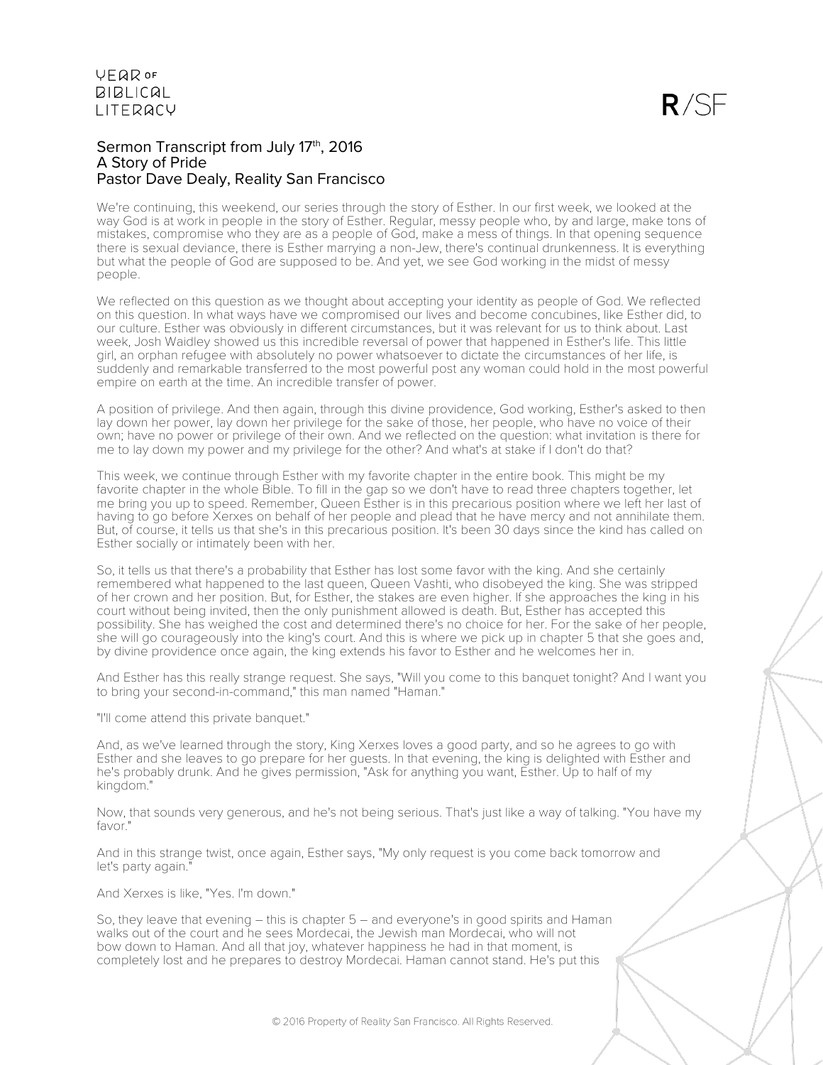#### Sermon Transcript from July 17th, 2016 A Story of Pride Pastor Dave Dealy, Reality San Francisco

We're continuing, this weekend, our series through the story of Esther. In our first week, we looked at the way God is at work in people in the story of Esther. Regular, messy people who, by and large, make tons of mistakes, compromise who they are as a people of God, make a mess of things. In that opening sequence there is sexual deviance, there is Esther marrying a non-Jew, there's continual drunkenness. It is everything but what the people of God are supposed to be. And yet, we see God working in the midst of messy people.

We reflected on this question as we thought about accepting your identity as people of God. We reflected on this question. In what ways have we compromised our lives and become concubines, like Esther did, to our culture. Esther was obviously in different circumstances, but it was relevant for us to think about. Last week, Josh Waidley showed us this incredible reversal of power that happened in Esther's life. This little girl, an orphan refugee with absolutely no power whatsoever to dictate the circumstances of her life, is suddenly and remarkable transferred to the most powerful post any woman could hold in the most powerful empire on earth at the time. An incredible transfer of power.

A position of privilege. And then again, through this divine providence, God working, Esther's asked to then lay down her power, lay down her privilege for the sake of those, her people, who have no voice of their own; have no power or privilege of their own. And we reflected on the question: what invitation is there for me to lay down my power and my privilege for the other? And what's at stake if I don't do that?

This week, we continue through Esther with my favorite chapter in the entire book. This might be my favorite chapter in the whole Bible. To fill in the gap so we don't have to read three chapters together, let me bring you up to speed. Remember, Queen Esther is in this precarious position where we left her last of having to go before Xerxes on behalf of her people and plead that he have mercy and not annihilate them. But, of course, it tells us that she's in this precarious position. It's been 30 days since the kind has called on Esther socially or intimately been with her.

So, it tells us that there's a probability that Esther has lost some favor with the king. And she certainly remembered what happened to the last queen, Queen Vashti, who disobeyed the king. She was stripped of her crown and her position. But, for Esther, the stakes are even higher. If she approaches the king in his court without being invited, then the only punishment allowed is death. But, Esther has accepted this possibility. She has weighed the cost and determined there's no choice for her. For the sake of her people, she will go courageously into the king's court. And this is where we pick up in chapter 5 that she goes and, by divine providence once again, the king extends his favor to Esther and he welcomes her in.

And Esther has this really strange request. She says, "Will you come to this banquet tonight? And I want you to bring your second-in-command," this man named "Haman."

"I'll come attend this private banquet."

And, as we've learned through the story, King Xerxes loves a good party, and so he agrees to go with Esther and she leaves to go prepare for her guests. In that evening, the king is delighted with Esther and he's probably drunk. And he gives permission, "Ask for anything you want, Esther. Up to half of my kingdom."

Now, that sounds very generous, and he's not being serious. That's just like a way of talking. "You have my favor."

And in this strange twist, once again, Esther says, "My only request is you come back tomorrow and let's party again.<sup>"</sup>

And Xerxes is like, "Yes. I'm down."

So, they leave that evening  $-$  this is chapter  $5 -$  and everyone's in good spirits and Haman walks out of the court and he sees Mordecai, the Jewish man Mordecai, who will not bow down to Haman. And all that joy, whatever happiness he had in that moment, is completely lost and he prepares to destroy Mordecai. Haman cannot stand. He's put this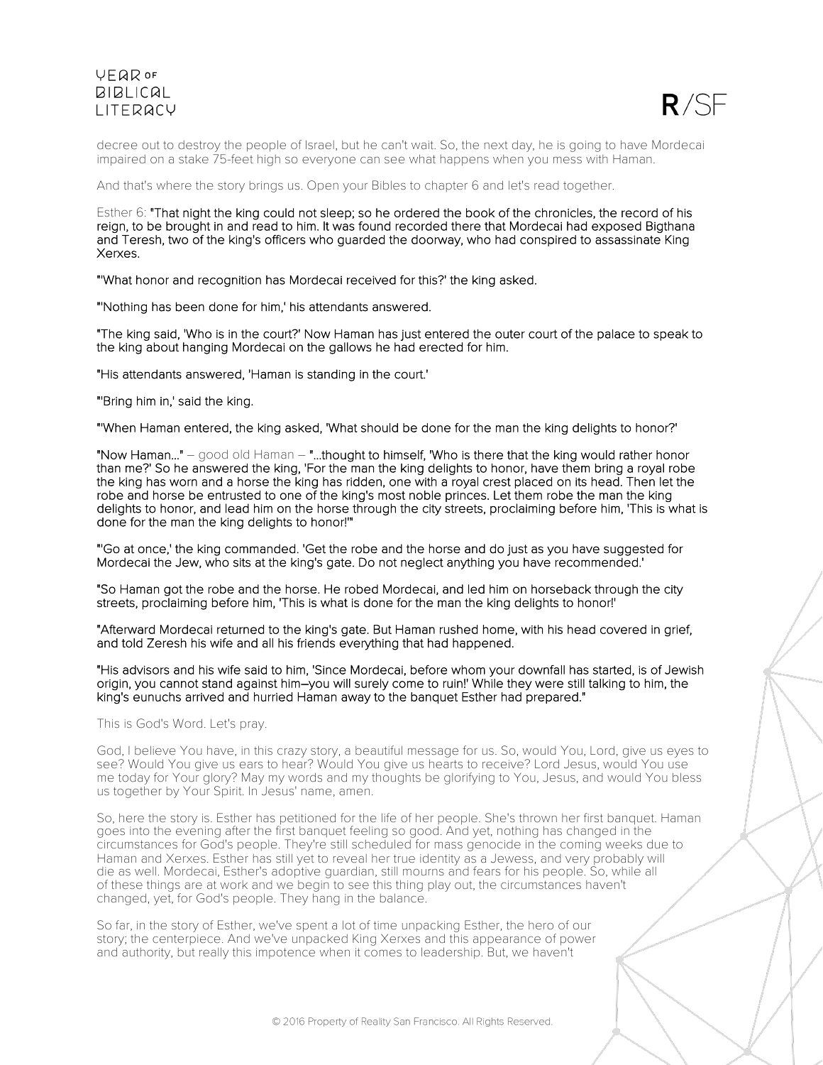### **VEQR OF BIBLICAL LITERACY**



decree out to destroy the people of Israel, but he can't wait. So, the next day, he is going to have Mordecai impaired on a stake 75-feet high so everyone can see what happens when you mess with Haman.

And that's where the story brings us. Open your Bibles to chapter 6 and let's read together.

Esther 6: "That night the king could not sleep; so he ordered the book of the chronicles, the record of his reign, to be brought in and read to him. It was found recorded there that Mordecai had exposed Bigthana and Teresh, two of the king's officers who guarded the doorway, who had conspired to assassinate King Xerxes.

"'What honor and recognition has Mordecai received for this?' the king asked.

"'Nothing has been done for him,' his attendants answered.

"The king said, 'Who is in the court?' Now Haman has just entered the outer court of the palace to speak to the king about hanging Mordecai on the gallows he had erected for him.

"His attendants answered, 'Haman is standing in the court.'

"'Bring him in,' said the king.

"'When Haman entered, the king asked, 'What should be done for the man the king delights to honor?'

"Now Haman..." – good old Haman – "...thought to himself, 'Who is there that the king would rather honor than me?' So he answered the king, 'For the man the king delights to honor, have them bring a royal robe the king has worn and a horse the king has ridden, one with a royal crest placed on its head. Then let the robe and horse be entrusted to one of the king's most noble princes. Let them robe the man the king delights to honor, and lead him on the horse through the city streets, proclaiming before him, 'This is what is done for the man the king delights to honor!'"

"'Go at once,' the king commanded. 'Get the robe and the horse and do just as you have suggested for Mordecai the Jew, who sits at the king's gate. Do not neglect anything you have recommended.'

"So Haman got the robe and the horse. He robed Mordecai, and led him on horseback through the city streets, proclaiming before him, 'This is what is done for the man the king delights to honor!'

"Afterward Mordecai returned to the king's gate. But Haman rushed home, with his head covered in grief, and told Zeresh his wife and all his friends everything that had happened.

"His advisors and his wife said to him, 'Since Mordecai, before whom your downfall has started, is of Jewish origin, you cannot stand against him–you will surely come to ruin!' While they were still talking to him, the king's eunuchs arrived and hurried Haman away to the banquet Esther had prepared."

This is God's Word. Let's pray.

God, I believe You have, in this crazy story, a beautiful message for us. So, would You, Lord, give us eyes to see? Would You give us ears to hear? Would You give us hearts to receive? Lord Jesus, would You use me today for Your glory? May my words and my thoughts be glorifying to You, Jesus, and would You bless us together by Your Spirit. In Jesus' name, amen.

So, here the story is. Esther has petitioned for the life of her people. She's thrown her first banquet. Haman goes into the evening after the first banquet feeling so good. And yet, nothing has changed in the circumstances for God's people. They're still scheduled for mass genocide in the coming weeks due to Haman and Xerxes. Esther has still yet to reveal her true identity as a Jewess, and very probably will die as well. Mordecai, Esther's adoptive guardian, still mourns and fears for his people. So, while all of these things are at work and we begin to see this thing play out, the circumstances haven't changed, yet, for God's people. They hang in the balance.

So far, in the story of Esther, we've spent a lot of time unpacking Esther, the hero of our story; the centerpiece. And we've unpacked King Xerxes and this appearance of power and authority, but really this impotence when it comes to leadership. But, we haven't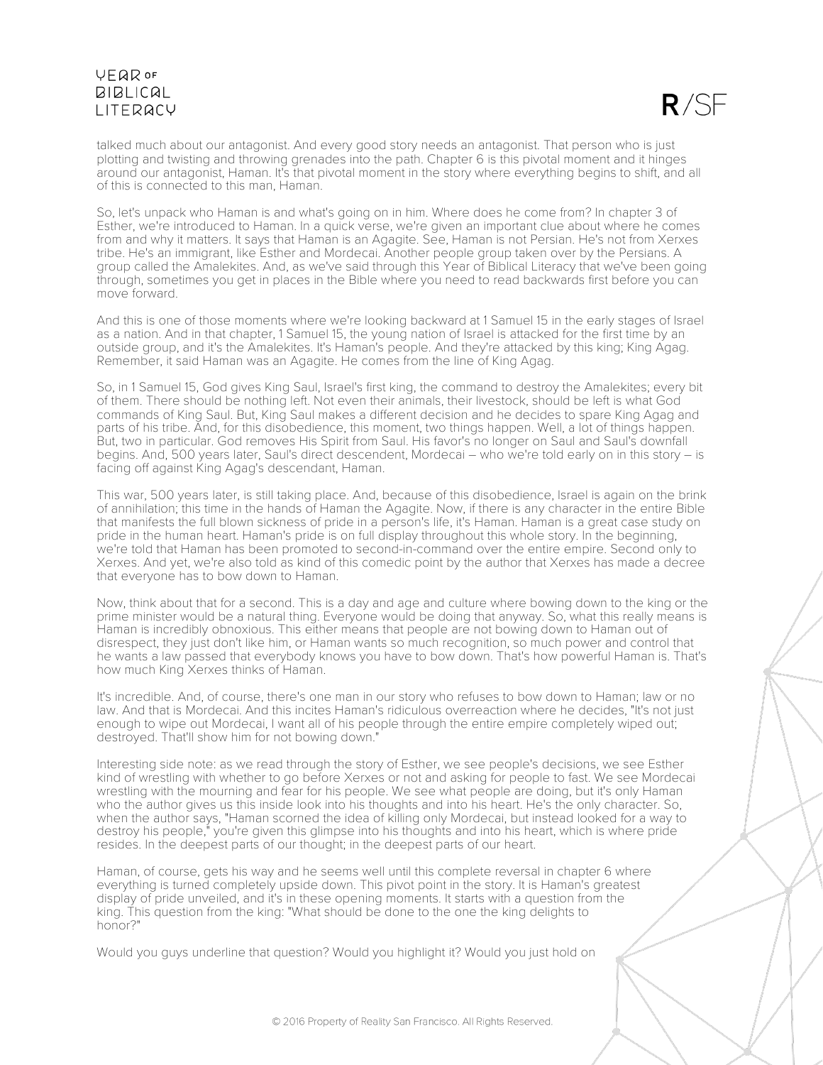## **VFQR OF BIBLICAL** LITERACY



talked much about our antagonist. And every good story needs an antagonist. That person who is just plotting and twisting and throwing grenades into the path. Chapter 6 is this pivotal moment and it hinges around our antagonist, Haman. It's that pivotal moment in the story where everything begins to shift, and all of this is connected to this man, Haman.

So, let's unpack who Haman is and what's going on in him. Where does he come from? In chapter 3 of Esther, we're introduced to Haman. In a quick verse, we're given an important clue about where he comes from and why it matters. It says that Haman is an Agagite. See, Haman is not Persian. He's not from Xerxes tribe. He's an immigrant, like Esther and Mordecai. Another people group taken over by the Persians. A group called the Amalekites. And, as we've said through this Year of Biblical Literacy that we've been going through, sometimes you get in places in the Bible where you need to read backwards first before you can move forward.

And this is one of those moments where we're looking backward at 1 Samuel 15 in the early stages of Israel as a nation. And in that chapter, 1 Samuel 15, the young nation of Israel is attacked for the first time by an outside group, and it's the Amalekites. It's Haman's people. And they're attacked by this king; King Agag. Remember, it said Haman was an Agagite. He comes from the line of King Agag.

So, in 1 Samuel 15, God gives King Saul, Israel's first king, the command to destroy the Amalekites; every bit of them. There should be nothing left. Not even their animals, their livestock, should be left is what God commands of King Saul. But, King Saul makes a different decision and he decides to spare King Agag and parts of his tribe. And, for this disobedience, this moment, two things happen. Well, a lot of things happen. But, two in particular. God removes His Spirit from Saul. His favor's no longer on Saul and Saul's downfall begins. And, 500 years later, Saul's direct descendent, Mordecai – who we're told early on in this story – is facing off against King Agag's descendant, Haman.

This war, 500 years later, is still taking place. And, because of this disobedience, Israel is again on the brink of annihilation; this time in the hands of Haman the Agagite. Now, if there is any character in the entire Bible that manifests the full blown sickness of pride in a person's life, it's Haman. Haman is a great case study on pride in the human heart. Haman's pride is on full display throughout this whole story. In the beginning, we're told that Haman has been promoted to second-in-command over the entire empire. Second only to Xerxes. And yet, we're also told as kind of this comedic point by the author that Xerxes has made a decree that everyone has to bow down to Haman.

Now, think about that for a second. This is a day and age and culture where bowing down to the king or the prime minister would be a natural thing. Everyone would be doing that anyway. So, what this really means is Haman is incredibly obnoxious. This either means that people are not bowing down to Haman out of disrespect, they just don't like him, or Haman wants so much recognition, so much power and control that he wants a law passed that everybody knows you have to bow down. That's how powerful Haman is. That's how much King Xerxes thinks of Haman.

It's incredible. And, of course, there's one man in our story who refuses to bow down to Haman; law or no law. And that is Mordecai. And this incites Haman's ridiculous overreaction where he decides, "It's not just enough to wipe out Mordecai, I want all of his people through the entire empire completely wiped out; destroyed. That'll show him for not bowing down."

Interesting side note: as we read through the story of Esther, we see people's decisions, we see Esther kind of wrestling with whether to go before Xerxes or not and asking for people to fast. We see Mordecai wrestling with the mourning and fear for his people. We see what people are doing, but it's only Haman who the author gives us this inside look into his thoughts and into his heart. He's the only character. So, when the author says, "Haman scorned the idea of killing only Mordecai, but instead looked for a way to destroy his people," you're given this glimpse into his thoughts and into his heart, which is where pride resides. In the deepest parts of our thought; in the deepest parts of our heart.

Haman, of course, gets his way and he seems well until this complete reversal in chapter 6 where everything is turned completely upside down. This pivot point in the story. It is Haman's greatest display of pride unveiled, and it's in these opening moments. It starts with a question from the king. This question from the king: "What should be done to the one the king delights to honor?"

Would you guys underline that question? Would you highlight it? Would you just hold on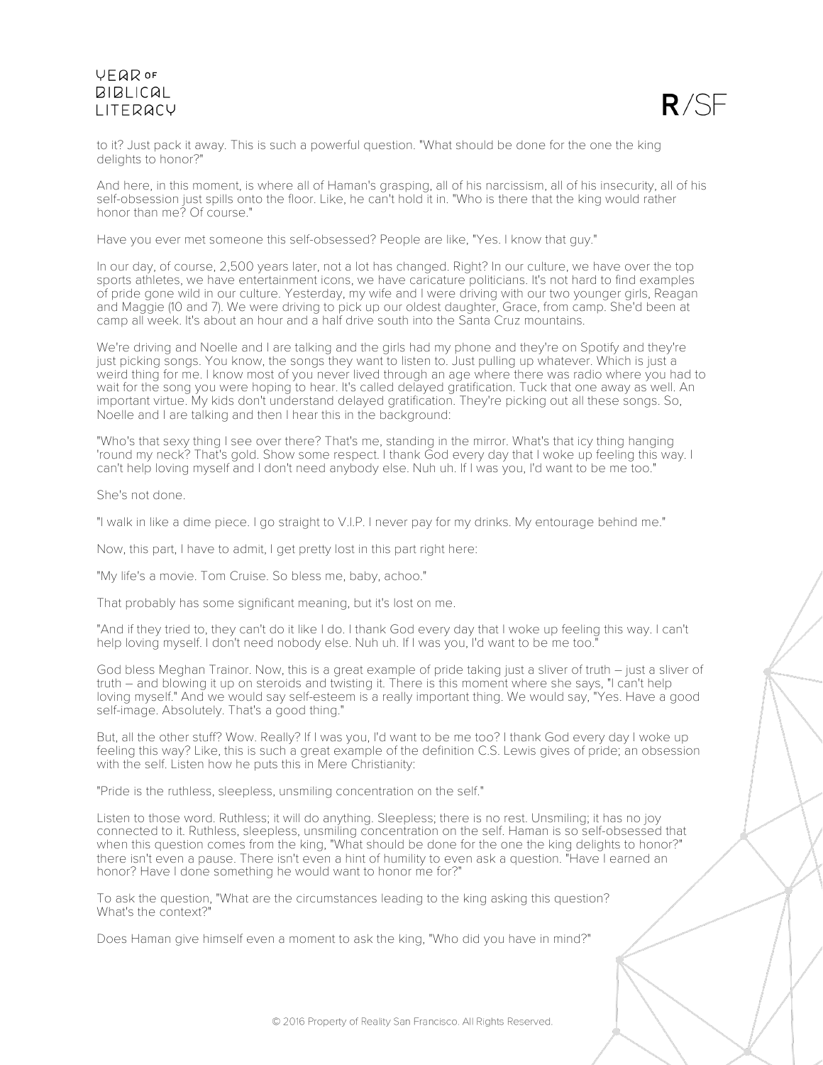# **VEQR OF BIBLICAL LITERACY**



to it? Just pack it away. This is such a powerful question. "What should be done for the one the king delights to honor?"

And here, in this moment, is where all of Haman's grasping, all of his narcissism, all of his insecurity, all of his self-obsession just spills onto the floor. Like, he can't hold it in. "Who is there that the king would rather honor than me? Of course."

Have you ever met someone this self-obsessed? People are like, "Yes. I know that guy."

In our day, of course, 2,500 years later, not a lot has changed. Right? In our culture, we have over the top sports athletes, we have entertainment icons, we have caricature politicians. It's not hard to find examples of pride gone wild in our culture. Yesterday, my wife and I were driving with our two younger girls, Reagan and Maggie (10 and 7). We were driving to pick up our oldest daughter, Grace, from camp. She'd been at camp all week. It's about an hour and a half drive south into the Santa Cruz mountains.

We're driving and Noelle and I are talking and the girls had my phone and they're on Spotify and they're just picking songs. You know, the songs they want to listen to. Just pulling up whatever. Which is just a weird thing for me. I know most of you never lived through an age where there was radio where you had to wait for the song you were hoping to hear. It's called delayed gratification. Tuck that one away as well. An important virtue. My kids don't understand delayed gratification. They're picking out all these songs. So, Noelle and I are talking and then I hear this in the background:

"Who's that sexy thing I see over there? That's me, standing in the mirror. What's that icy thing hanging 'round my neck? That's gold. Show some respect. I thank God every day that I woke up feeling this way. I can't help loving myself and I don't need anybody else. Nuh uh. If I was you, I'd want to be me too."

She's not done.

"I walk in like a dime piece. I go straight to V.I.P. I never pay for my drinks. My entourage behind me."

Now, this part, I have to admit, I get pretty lost in this part right here:

"My life's a movie. Tom Cruise. So bless me, baby, achoo."

That probably has some significant meaning, but it's lost on me.

"And if they tried to, they can't do it like I do. I thank God every day that I woke up feeling this way. I can't help loving myself. I don't need nobody else. Nuh uh. If I was you, I'd want to be me too."

God bless Meghan Trainor. Now, this is a great example of pride taking just a sliver of truth – just a sliver of truth – and blowing it up on steroids and twisting it. There is this moment where she says, "I can't help loving myself." And we would say self-esteem is a really important thing. We would say, "Yes. Have a good self-image. Absolutely. That's a good thing."

But, all the other stuff? Wow. Really? If I was you, I'd want to be me too? I thank God every day I woke up feeling this way? Like, this is such a great example of the definition C.S. Lewis gives of pride; an obsession with the self. Listen how he puts this in Mere Christianity:

"Pride is the ruthless, sleepless, unsmiling concentration on the self."

Listen to those word. Ruthless; it will do anything. Sleepless; there is no rest. Unsmiling; it has no joy connected to it. Ruthless, sleepless, unsmiling concentration on the self. Haman is so self-obsessed that when this question comes from the king, "What should be done for the one the king delights to honor?" there isn't even a pause. There isn't even a hint of humility to even ask a question. "Have I earned an honor? Have I done something he would want to honor me for?"

To ask the question, "What are the circumstances leading to the king asking this question? What's the context?"

Does Haman give himself even a moment to ask the king, "Who did you have in mind?"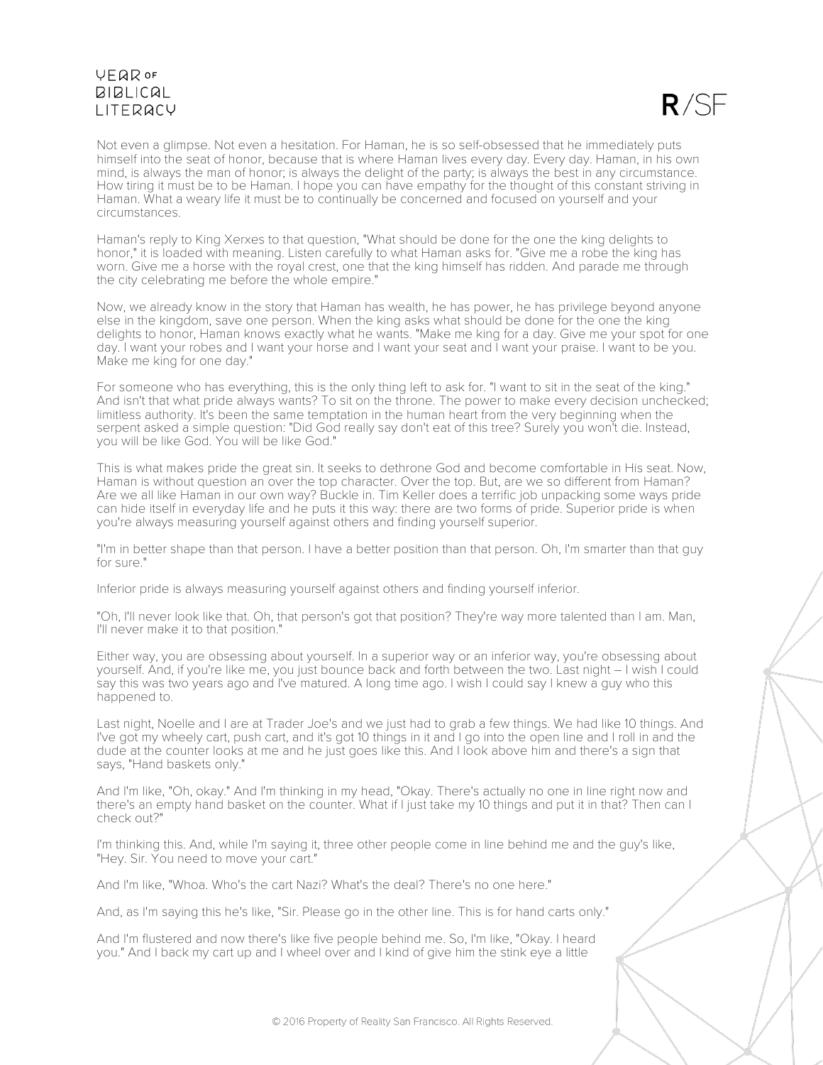# **VFQR OF BIBLICAL LITERACY**



Not even a glimpse. Not even a hesitation. For Haman, he is so self-obsessed that he immediately puts himself into the seat of honor, because that is where Haman lives every day. Every day. Haman, in his own mind, is always the man of honor; is always the delight of the party; is always the best in any circumstance. How tiring it must be to be Haman. I hope you can have empathy for the thought of this constant striving in Haman. What a weary life it must be to continually be concerned and focused on yourself and your circumstances.

Haman's reply to King Xerxes to that question, "What should be done for the one the king delights to honor," it is loaded with meaning. Listen carefully to what Haman asks for. "Give me a robe the king has worn. Give me a horse with the royal crest, one that the king himself has ridden. And parade me through the city celebrating me before the whole empire."

Now, we already know in the story that Haman has wealth, he has power, he has privilege beyond anyone else in the kingdom, save one person. When the king asks what should be done for the one the king delights to honor, Haman knows exactly what he wants. "Make me king for a day. Give me your spot for one day. I want your robes and I want your horse and I want your seat and I want your praise. I want to be you. Make me king for one day."

For someone who has everything, this is the only thing left to ask for. "I want to sit in the seat of the king." And isn't that what pride always wants? To sit on the throne. The power to make every decision unchecked; limitless authority. It's been the same temptation in the human heart from the very beginning when the serpent asked a simple question: "Did God really say don't eat of this tree? Surely you won't die. Instead, you will be like God. You will be like God."

This is what makes pride the great sin. It seeks to dethrone God and become comfortable in His seat. Now, Haman is without question an over the top character. Over the top. But, are we so different from Haman? Are we all like Haman in our own way? Buckle in. Tim Keller does a terrific job unpacking some ways pride can hide itself in everyday life and he puts it this way: there are two forms of pride. Superior pride is when you're always measuring yourself against others and finding yourself superior.

"I'm in better shape than that person. I have a better position than that person. Oh, I'm smarter than that guy for sure."

Inferior pride is always measuring yourself against others and finding yourself inferior.

"Oh, I'll never look like that. Oh, that person's got that position? They're way more talented than I am. Man, I'll never make it to that position."

Either way, you are obsessing about yourself. In a superior way or an inferior way, you're obsessing about yourself. And, if you're like me, you just bounce back and forth between the two. Last night – I wish I could say this was two years ago and I've matured. A long time ago. I wish I could say I knew a guy who this happened to.

Last night, Noelle and I are at Trader Joe's and we just had to grab a few things. We had like 10 things. And I've got my wheely cart, push cart, and it's got 10 things in it and I go into the open line and I roll in and the dude at the counter looks at me and he just goes like this. And I look above him and there's a sign that says, "Hand baskets only."

And I'm like, "Oh, okay." And I'm thinking in my head, "Okay. There's actually no one in line right now and there's an empty hand basket on the counter. What if I just take my 10 things and put it in that? Then can I check out?"

I'm thinking this. And, while I'm saying it, three other people come in line behind me and the guy's like, "Hey. Sir. You need to move your cart."

And I'm like, "Whoa. Who's the cart Nazi? What's the deal? There's no one here."

And, as I'm saying this he's like, "Sir. Please go in the other line. This is for hand carts only."

And I'm flustered and now there's like five people behind me. So, I'm like, "Okay. I heard you." And I back my cart up and I wheel over and I kind of give him the stink eye a little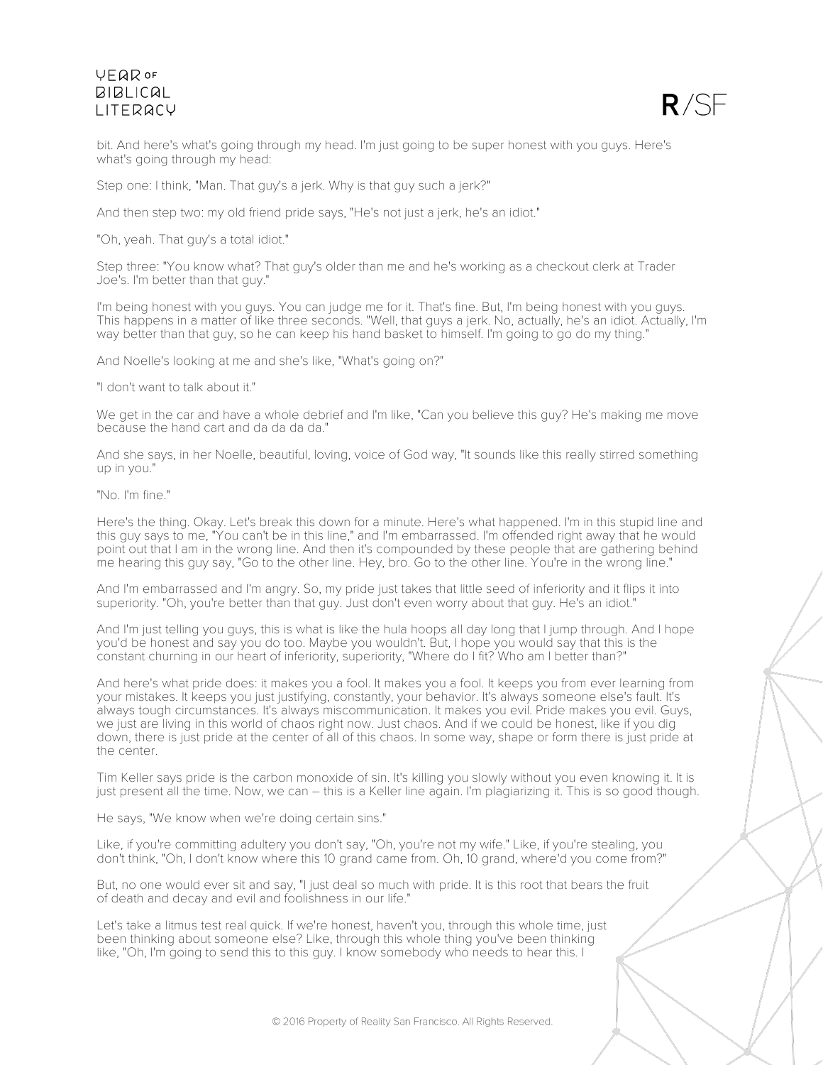# **VFQR OF BIBLICAL LITERACY**



bit. And here's what's going through my head. I'm just going to be super honest with you guys. Here's what's going through my head:

Step one: I think, "Man. That guy's a jerk. Why is that guy such a jerk?"

And then step two: my old friend pride says, "He's not just a jerk, he's an idiot."

"Oh, yeah. That guy's a total idiot."

Step three: "You know what? That guy's older than me and he's working as a checkout clerk at Trader Joe's. I'm better than that guy."

I'm being honest with you guys. You can judge me for it. That's fine. But, I'm being honest with you guys. This happens in a matter of like three seconds. "Well, that guys a jerk. No, actually, he's an idiot. Actually, I'm way better than that guy, so he can keep his hand basket to himself. I'm going to go do my thing."

And Noelle's looking at me and she's like, "What's going on?"

"I don't want to talk about it."

We get in the car and have a whole debrief and I'm like, "Can you believe this guy? He's making me move because the hand cart and da da da da."

And she says, in her Noelle, beautiful, loving, voice of God way, "It sounds like this really stirred something up in you."

"No. I'm fine."

Here's the thing. Okay. Let's break this down for a minute. Here's what happened. I'm in this stupid line and this guy says to me, "You can't be in this line," and I'm embarrassed. I'm offended right away that he would point out that I am in the wrong line. And then it's compounded by these people that are gathering behind me hearing this guy say, "Go to the other line. Hey, bro. Go to the other line. You're in the wrong line."

And I'm embarrassed and I'm angry. So, my pride just takes that little seed of inferiority and it flips it into superiority. "Oh, you're better than that guy. Just don't even worry about that guy. He's an idiot."

And I'm just telling you guys, this is what is like the hula hoops all day long that I jump through. And I hope you'd be honest and say you do too. Maybe you wouldn't. But, I hope you would say that this is the constant churning in our heart of inferiority, superiority, "Where do I fit? Who am I better than?"

And here's what pride does: it makes you a fool. It makes you a fool. It keeps you from ever learning from your mistakes. It keeps you just justifying, constantly, your behavior. It's always someone else's fault. It's always tough circumstances. It's always miscommunication. It makes you evil. Pride makes you evil. Guys, we just are living in this world of chaos right now. Just chaos. And if we could be honest, like if you dig down, there is just pride at the center of all of this chaos. In some way, shape or form there is just pride at the center.

Tim Keller says pride is the carbon monoxide of sin. It's killing you slowly without you even knowing it. It is just present all the time. Now, we can – this is a Keller line again. I'm plagiarizing it. This is so good though.

He says, "We know when we're doing certain sins."

Like, if you're committing adultery you don't say, "Oh, you're not my wife." Like, if you're stealing, you don't think, "Oh, I don't know where this 10 grand came from. Oh, 10 grand, where'd you come from?"

But, no one would ever sit and say, "I just deal so much with pride. It is this root that bears the fruit of death and decay and evil and foolishness in our life."

Let's take a litmus test real quick. If we're honest, haven't you, through this whole time, just been thinking about someone else? Like, through this whole thing you've been thinking like, "Oh, I'm going to send this to this guy. I know somebody who needs to hear this. I